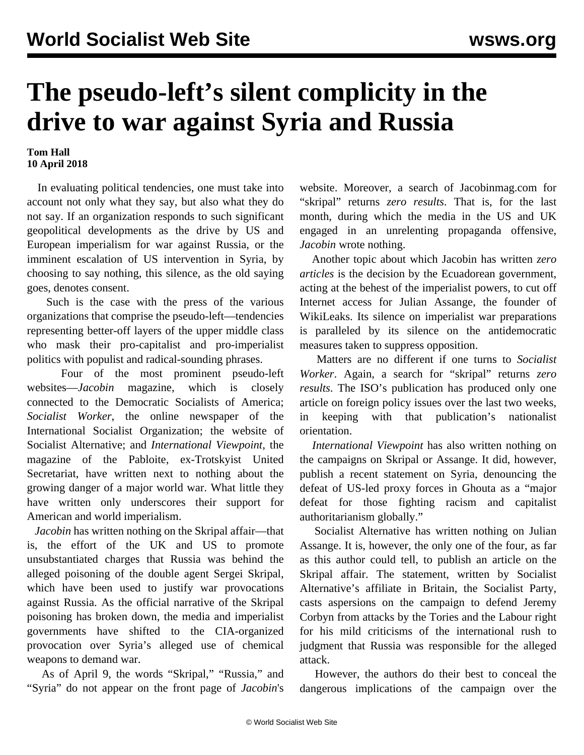## **The pseudo-left's silent complicity in the drive to war against Syria and Russia**

## **Tom Hall 10 April 2018**

 In evaluating political tendencies, one must take into account not only what they say, but also what they do not say. If an organization responds to such significant geopolitical developments as the drive by US and European imperialism for war against Russia, or the imminent escalation of US intervention in Syria, by choosing to say nothing, this silence, as the old saying goes, denotes consent.

 Such is the case with the press of the various organizations that comprise the pseudo-left—tendencies representing better-off layers of the upper middle class who mask their pro-capitalist and pro-imperialist politics with populist and radical-sounding phrases.

 Four of the most prominent pseudo-left websites—*Jacobin* magazine, which is closely connected to the Democratic Socialists of America; *Socialist Worker*, the online newspaper of the International Socialist Organization; the website of Socialist Alternative; and *International Viewpoint*, the magazine of the Pabloite, ex-Trotskyist United Secretariat, have written next to nothing about the growing danger of a major world war. What little they have written only underscores their support for American and world imperialism.

 *Jacobin* has written nothing on the Skripal affair—that is, the effort of the UK and US to promote unsubstantiated charges that Russia was behind the alleged poisoning of the double agent Sergei Skripal, which have been used to justify war provocations against Russia. As the official narrative of the Skripal poisoning has broken down, the media and imperialist governments have shifted to the CIA-organized provocation over Syria's alleged use of chemical weapons to demand war.

 As of April 9, the words "Skripal," "Russia," and "Syria" do not appear on the front page of *Jacobin*'s

website. Moreover, a search of Jacobinmag.com for "skripal" returns *zero results*. That is, for the last month, during which the media in the US and UK engaged in an unrelenting propaganda offensive, *Jacobin* wrote nothing.

 Another topic about which Jacobin has written *zero articles* is the decision by the Ecuadorean government, acting at the behest of the imperialist powers, to cut off Internet access for Julian Assange, the founder of WikiLeaks. Its silence on imperialist war preparations is paralleled by its silence on the antidemocratic measures taken to suppress opposition.

 Matters are no different if one turns to *Socialist Worker*. Again, a search for "skripal" returns *zero results*. The ISO's publication has produced only one article on foreign policy issues over the last two weeks, in keeping with that publication's nationalist orientation.

 *International Viewpoint* has also written nothing on the campaigns on Skripal or Assange. It did, however, publish a recent statement on Syria, denouncing the defeat of US-led proxy forces in Ghouta as a "major defeat for those fighting racism and capitalist authoritarianism globally."

 Socialist Alternative has written nothing on Julian Assange. It is, however, the only one of the four, as far as this author could tell, to publish an article on the Skripal affair. The statement, written by Socialist Alternative's affiliate in Britain, the Socialist Party, casts aspersions on the campaign to defend Jeremy Corbyn from attacks by the Tories and the Labour right for his mild criticisms of the international rush to judgment that Russia was responsible for the alleged attack.

 However, the authors do their best to conceal the dangerous implications of the campaign over the